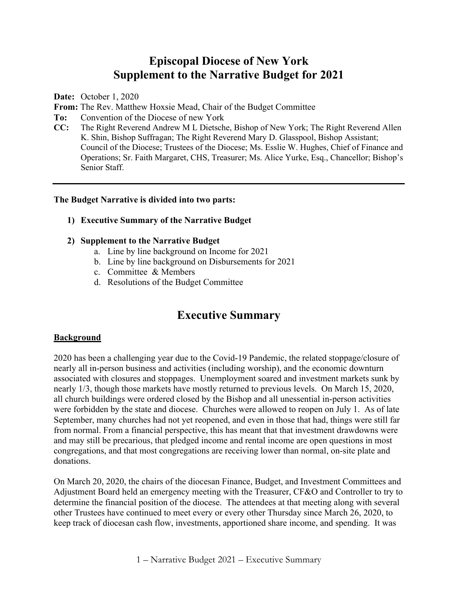# **Episcopal Diocese of New York Supplement to the Narrative Budget for 2021**

**Date:** October 1, 2020

**From:** The Rev. Matthew Hoxsie Mead, Chair of the Budget Committee

- **To:** Convention of the Diocese of new York
- **CC:** The Right Reverend Andrew M L Dietsche, Bishop of New York; The Right Reverend Allen K. Shin, Bishop Suffragan; The Right Reverend Mary D. Glasspool, Bishop Assistant; Council of the Diocese; Trustees of the Diocese; Ms. Esslie W. Hughes, Chief of Finance and Operations; Sr. Faith Margaret, CHS, Treasurer; Ms. Alice Yurke, Esq., Chancellor; Bishop's Senior Staff.

#### **The Budget Narrative is divided into two parts:**

#### **1) Executive Summary of the Narrative Budget**

#### **2) Supplement to the Narrative Budget**

- a. Line by line background on Income for 2021
- b. Line by line background on Disbursements for 2021
- c. Committee & Members
- d. Resolutions of the Budget Committee

# **Executive Summary**

#### **Background**

2020 has been a challenging year due to the Covid-19 Pandemic, the related stoppage/closure of nearly all in-person business and activities (including worship), and the economic downturn associated with closures and stoppages. Unemployment soared and investment markets sunk by nearly 1/3, though those markets have mostly returned to previous levels. On March 15, 2020, all church buildings were ordered closed by the Bishop and all unessential in-person activities were forbidden by the state and diocese. Churches were allowed to reopen on July 1. As of late September, many churches had not yet reopened, and even in those that had, things were still far from normal. From a financial perspective, this has meant that that investment drawdowns were and may still be precarious, that pledged income and rental income are open questions in most congregations, and that most congregations are receiving lower than normal, on-site plate and donations.

On March 20, 2020, the chairs of the diocesan Finance, Budget, and Investment Committees and Adjustment Board held an emergency meeting with the Treasurer, CF&O and Controller to try to determine the financial position of the diocese. The attendees at that meeting along with several other Trustees have continued to meet every or every other Thursday since March 26, 2020, to keep track of diocesan cash flow, investments, apportioned share income, and spending. It was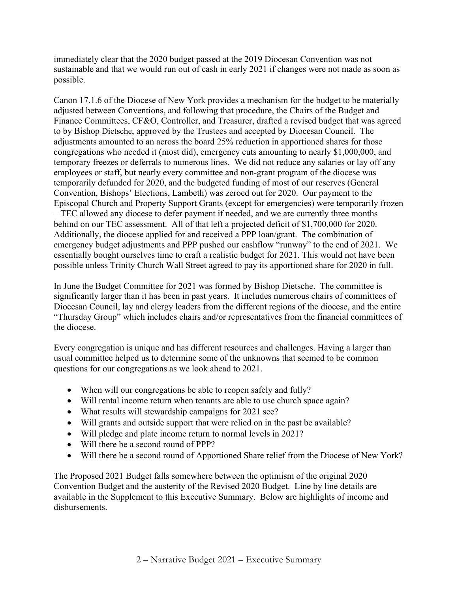immediately clear that the 2020 budget passed at the 2019 Diocesan Convention was not sustainable and that we would run out of cash in early 2021 if changes were not made as soon as possible.

Canon 17.1.6 of the Diocese of New York provides a mechanism for the budget to be materially adjusted between Conventions, and following that procedure, the Chairs of the Budget and Finance Committees, CF&O, Controller, and Treasurer, drafted a revised budget that was agreed to by Bishop Dietsche, approved by the Trustees and accepted by Diocesan Council. The adjustments amounted to an across the board 25% reduction in apportioned shares for those congregations who needed it (most did), emergency cuts amounting to nearly \$1,000,000, and temporary freezes or deferrals to numerous lines. We did not reduce any salaries or lay off any employees or staff, but nearly every committee and non-grant program of the diocese was temporarily defunded for 2020, and the budgeted funding of most of our reserves (General Convention, Bishops' Elections, Lambeth) was zeroed out for 2020. Our payment to the Episcopal Church and Property Support Grants (except for emergencies) were temporarily frozen – TEC allowed any diocese to defer payment if needed, and we are currently three months behind on our TEC assessment. All of that left a projected deficit of \$1,700,000 for 2020. Additionally, the diocese applied for and received a PPP loan/grant. The combination of emergency budget adjustments and PPP pushed our cashflow "runway" to the end of 2021. We essentially bought ourselves time to craft a realistic budget for 2021. This would not have been possible unless Trinity Church Wall Street agreed to pay its apportioned share for 2020 in full.

In June the Budget Committee for 2021 was formed by Bishop Dietsche. The committee is significantly larger than it has been in past years. It includes numerous chairs of committees of Diocesan Council, lay and clergy leaders from the different regions of the diocese, and the entire "Thursday Group" which includes chairs and/or representatives from the financial committees of the diocese.

Every congregation is unique and has different resources and challenges. Having a larger than usual committee helped us to determine some of the unknowns that seemed to be common questions for our congregations as we look ahead to 2021.

- When will our congregations be able to reopen safely and fully?
- Will rental income return when tenants are able to use church space again?
- What results will stewardship campaigns for 2021 see?
- Will grants and outside support that were relied on in the past be available?
- Will pledge and plate income return to normal levels in 2021?
- Will there be a second round of PPP?
- Will there be a second round of Apportioned Share relief from the Diocese of New York?

The Proposed 2021 Budget falls somewhere between the optimism of the original 2020 Convention Budget and the austerity of the Revised 2020 Budget. Line by line details are available in the Supplement to this Executive Summary. Below are highlights of income and disbursements.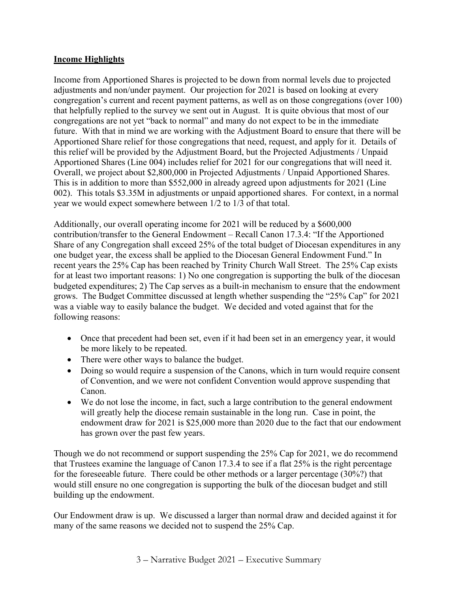## **Income Highlights**

Income from Apportioned Shares is projected to be down from normal levels due to projected adjustments and non/under payment. Our projection for 2021 is based on looking at every congregation's current and recent payment patterns, as well as on those congregations (over 100) that helpfully replied to the survey we sent out in August. It is quite obvious that most of our congregations are not yet "back to normal" and many do not expect to be in the immediate future. With that in mind we are working with the Adjustment Board to ensure that there will be Apportioned Share relief for those congregations that need, request, and apply for it. Details of this relief will be provided by the Adjustment Board, but the Projected Adjustments / Unpaid Apportioned Shares (Line 004) includes relief for 2021 for our congregations that will need it. Overall, we project about \$2,800,000 in Projected Adjustments / Unpaid Apportioned Shares. This is in addition to more than \$552,000 in already agreed upon adjustments for 2021 (Line 002). This totals \$3.35M in adjustments or unpaid apportioned shares. For context, in a normal year we would expect somewhere between 1/2 to 1/3 of that total.

Additionally, our overall operating income for 2021 will be reduced by a \$600,000 contribution/transfer to the General Endowment – Recall Canon 17.3.4: "If the Apportioned Share of any Congregation shall exceed 25% of the total budget of Diocesan expenditures in any one budget year, the excess shall be applied to the Diocesan General Endowment Fund." In recent years the 25% Cap has been reached by Trinity Church Wall Street. The 25% Cap exists for at least two important reasons: 1) No one congregation is supporting the bulk of the diocesan budgeted expenditures; 2) The Cap serves as a built-in mechanism to ensure that the endowment grows. The Budget Committee discussed at length whether suspending the "25% Cap" for 2021 was a viable way to easily balance the budget. We decided and voted against that for the following reasons:

- Once that precedent had been set, even if it had been set in an emergency year, it would be more likely to be repeated.
- There were other ways to balance the budget.
- Doing so would require a suspension of the Canons, which in turn would require consent of Convention, and we were not confident Convention would approve suspending that Canon.
- We do not lose the income, in fact, such a large contribution to the general endowment will greatly help the diocese remain sustainable in the long run. Case in point, the endowment draw for 2021 is \$25,000 more than 2020 due to the fact that our endowment has grown over the past few years.

Though we do not recommend or support suspending the 25% Cap for 2021, we do recommend that Trustees examine the language of Canon 17.3.4 to see if a flat 25% is the right percentage for the foreseeable future. There could be other methods or a larger percentage (30%?) that would still ensure no one congregation is supporting the bulk of the diocesan budget and still building up the endowment.

Our Endowment draw is up. We discussed a larger than normal draw and decided against it for many of the same reasons we decided not to suspend the 25% Cap.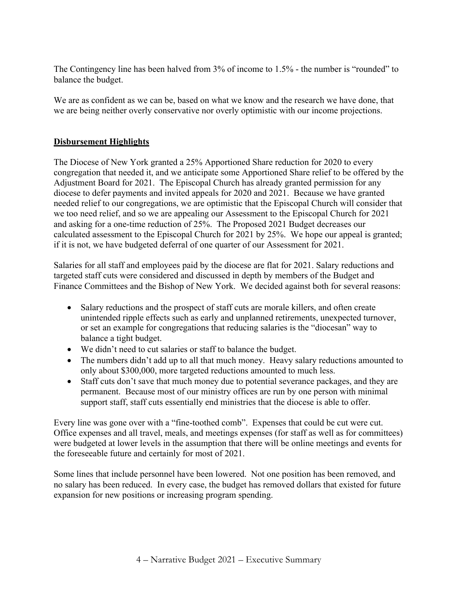The Contingency line has been halved from 3% of income to 1.5% - the number is "rounded" to balance the budget.

We are as confident as we can be, based on what we know and the research we have done, that we are being neither overly conservative nor overly optimistic with our income projections.

## **Disbursement Highlights**

The Diocese of New York granted a 25% Apportioned Share reduction for 2020 to every congregation that needed it, and we anticipate some Apportioned Share relief to be offered by the Adjustment Board for 2021. The Episcopal Church has already granted permission for any diocese to defer payments and invited appeals for 2020 and 2021. Because we have granted needed relief to our congregations, we are optimistic that the Episcopal Church will consider that we too need relief, and so we are appealing our Assessment to the Episcopal Church for 2021 and asking for a one-time reduction of 25%. The Proposed 2021 Budget decreases our calculated assessment to the Episcopal Church for 2021 by 25%. We hope our appeal is granted; if it is not, we have budgeted deferral of one quarter of our Assessment for 2021.

Salaries for all staff and employees paid by the diocese are flat for 2021. Salary reductions and targeted staff cuts were considered and discussed in depth by members of the Budget and Finance Committees and the Bishop of New York. We decided against both for several reasons:

- Salary reductions and the prospect of staff cuts are morale killers, and often create unintended ripple effects such as early and unplanned retirements, unexpected turnover, or set an example for congregations that reducing salaries is the "diocesan" way to balance a tight budget.
- We didn't need to cut salaries or staff to balance the budget.
- The numbers didn't add up to all that much money. Heavy salary reductions amounted to only about \$300,000, more targeted reductions amounted to much less.
- Staff cuts don't save that much money due to potential severance packages, and they are permanent. Because most of our ministry offices are run by one person with minimal support staff, staff cuts essentially end ministries that the diocese is able to offer.

Every line was gone over with a "fine-toothed comb". Expenses that could be cut were cut. Office expenses and all travel, meals, and meetings expenses (for staff as well as for committees) were budgeted at lower levels in the assumption that there will be online meetings and events for the foreseeable future and certainly for most of 2021.

Some lines that include personnel have been lowered. Not one position has been removed, and no salary has been reduced. In every case, the budget has removed dollars that existed for future expansion for new positions or increasing program spending.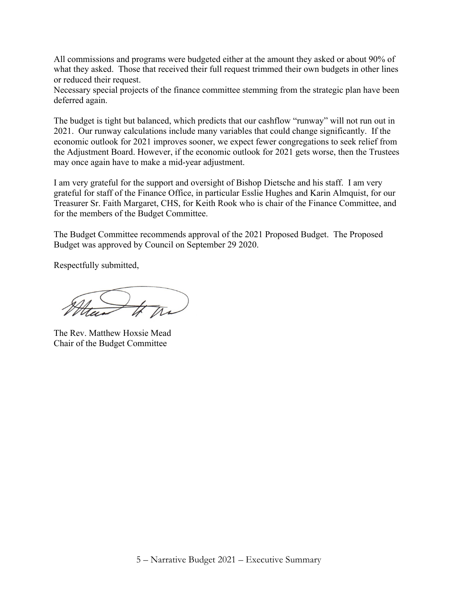All commissions and programs were budgeted either at the amount they asked or about 90% of what they asked. Those that received their full request trimmed their own budgets in other lines or reduced their request.

Necessary special projects of the finance committee stemming from the strategic plan have been deferred again.

The budget is tight but balanced, which predicts that our cashflow "runway" will not run out in 2021. Our runway calculations include many variables that could change significantly. If the economic outlook for 2021 improves sooner, we expect fewer congregations to seek relief from the Adjustment Board. However, if the economic outlook for 2021 gets worse, then the Trustees may once again have to make a mid-year adjustment.

I am very grateful for the support and oversight of Bishop Dietsche and his staff. I am very grateful for staff of the Finance Office, in particular Esslie Hughes and Karin Almquist, for our Treasurer Sr. Faith Margaret, CHS, for Keith Rook who is chair of the Finance Committee, and for the members of the Budget Committee.

The Budget Committee recommends approval of the 2021 Proposed Budget. The Proposed Budget was approved by Council on September 29 2020.

Respectfully submitted,

The Rev. Matthew Hoxsie Mead Chair of the Budget Committee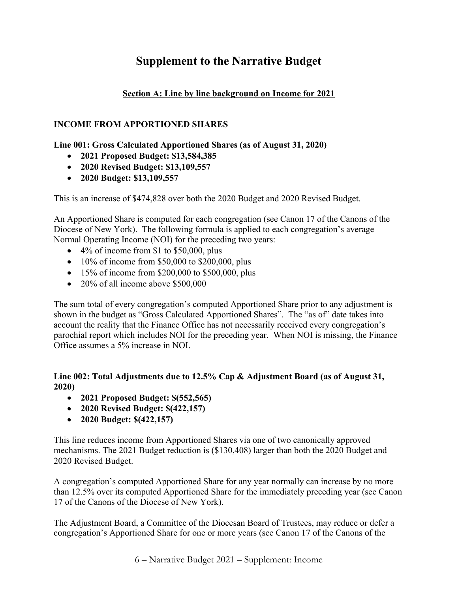# **Supplement to the Narrative Budget**

# **Section A: Line by line background on Income for 2021**

# **INCOME FROM APPORTIONED SHARES**

# **Line 001: Gross Calculated Apportioned Shares (as of August 31, 2020)**

- **2021 Proposed Budget: \$13,584,385**
- **2020 Revised Budget: \$13,109,557**
- **2020 Budget: \$13,109,557**

This is an increase of \$474,828 over both the 2020 Budget and 2020 Revised Budget.

An Apportioned Share is computed for each congregation (see Canon 17 of the Canons of the Diocese of New York). The following formula is applied to each congregation's average Normal Operating Income (NOI) for the preceding two years:

- 4% of income from \$1 to \$50,000, plus
- $10\%$  of income from \$50,000 to \$200,000, plus
- 15% of income from \$200,000 to \$500,000, plus
- 20% of all income above \$500,000

The sum total of every congregation's computed Apportioned Share prior to any adjustment is shown in the budget as "Gross Calculated Apportioned Shares". The "as of" date takes into account the reality that the Finance Office has not necessarily received every congregation's parochial report which includes NOI for the preceding year. When NOI is missing, the Finance Office assumes a 5% increase in NOI.

# **Line 002: Total Adjustments due to 12.5% Cap & Adjustment Board (as of August 31, 2020)**

- **2021 Proposed Budget: \$(552,565)**
- **2020 Revised Budget: \$(422,157)**
- **2020 Budget: \$(422,157)**

This line reduces income from Apportioned Shares via one of two canonically approved mechanisms. The 2021 Budget reduction is (\$130,408) larger than both the 2020 Budget and 2020 Revised Budget.

A congregation's computed Apportioned Share for any year normally can increase by no more than 12.5% over its computed Apportioned Share for the immediately preceding year (see Canon 17 of the Canons of the Diocese of New York).

The Adjustment Board, a Committee of the Diocesan Board of Trustees, may reduce or defer a congregation's Apportioned Share for one or more years (see Canon 17 of the Canons of the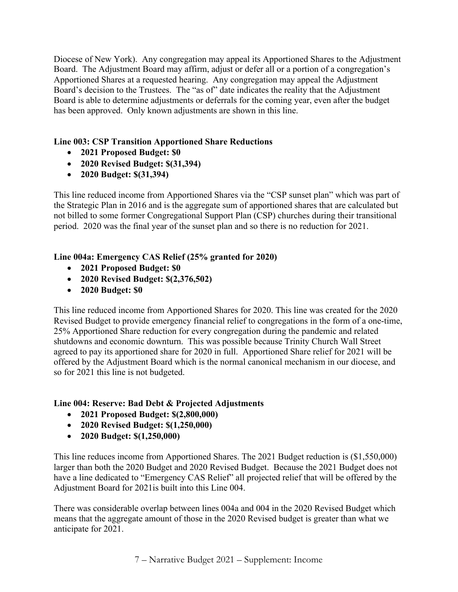Diocese of New York). Any congregation may appeal its Apportioned Shares to the Adjustment Board. The Adjustment Board may affirm, adjust or defer all or a portion of a congregation's Apportioned Shares at a requested hearing. Any congregation may appeal the Adjustment Board's decision to the Trustees. The "as of" date indicates the reality that the Adjustment Board is able to determine adjustments or deferrals for the coming year, even after the budget has been approved. Only known adjustments are shown in this line.

# **Line 003: CSP Transition Apportioned Share Reductions**

- **2021 Proposed Budget: \$0**
- **2020 Revised Budget: \$(31,394)**
- **2020 Budget: \$(31,394)**

This line reduced income from Apportioned Shares via the "CSP sunset plan" which was part of the Strategic Plan in 2016 and is the aggregate sum of apportioned shares that are calculated but not billed to some former Congregational Support Plan (CSP) churches during their transitional period. 2020 was the final year of the sunset plan and so there is no reduction for 2021.

# **Line 004a: Emergency CAS Relief (25% granted for 2020)**

- **2021 Proposed Budget: \$0**
- **2020 Revised Budget: \$(2,376,502)**
- **2020 Budget: \$0**

This line reduced income from Apportioned Shares for 2020. This line was created for the 2020 Revised Budget to provide emergency financial relief to congregations in the form of a one-time, 25% Apportioned Share reduction for every congregation during the pandemic and related shutdowns and economic downturn. This was possible because Trinity Church Wall Street agreed to pay its apportioned share for 2020 in full. Apportioned Share relief for 2021 will be offered by the Adjustment Board which is the normal canonical mechanism in our diocese, and so for 2021 this line is not budgeted.

## **Line 004: Reserve: Bad Debt & Projected Adjustments**

- **2021 Proposed Budget: \$(2,800,000)**
- **2020 Revised Budget: \$(1,250,000)**
- **2020 Budget: \$(1,250,000)**

This line reduces income from Apportioned Shares. The 2021 Budget reduction is (\$1,550,000) larger than both the 2020 Budget and 2020 Revised Budget. Because the 2021 Budget does not have a line dedicated to "Emergency CAS Relief" all projected relief that will be offered by the Adjustment Board for 2021is built into this Line 004.

There was considerable overlap between lines 004a and 004 in the 2020 Revised Budget which means that the aggregate amount of those in the 2020 Revised budget is greater than what we anticipate for 2021.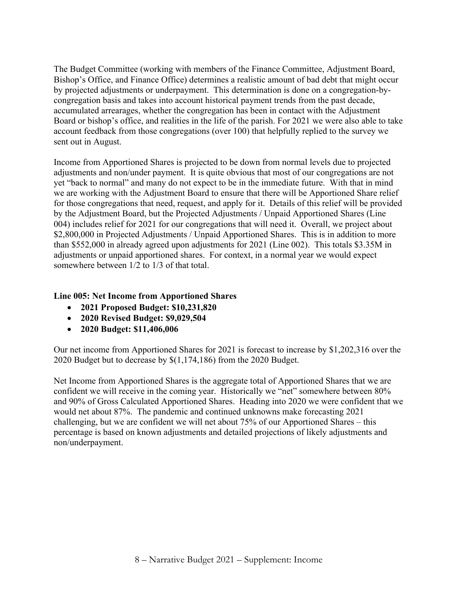The Budget Committee (working with members of the Finance Committee, Adjustment Board, Bishop's Office, and Finance Office) determines a realistic amount of bad debt that might occur by projected adjustments or underpayment. This determination is done on a congregation-bycongregation basis and takes into account historical payment trends from the past decade, accumulated arrearages, whether the congregation has been in contact with the Adjustment Board or bishop's office, and realities in the life of the parish. For 2021 we were also able to take account feedback from those congregations (over 100) that helpfully replied to the survey we sent out in August.

Income from Apportioned Shares is projected to be down from normal levels due to projected adjustments and non/under payment. It is quite obvious that most of our congregations are not yet "back to normal" and many do not expect to be in the immediate future. With that in mind we are working with the Adjustment Board to ensure that there will be Apportioned Share relief for those congregations that need, request, and apply for it. Details of this relief will be provided by the Adjustment Board, but the Projected Adjustments / Unpaid Apportioned Shares (Line 004) includes relief for 2021 for our congregations that will need it. Overall, we project about \$2,800,000 in Projected Adjustments / Unpaid Apportioned Shares. This is in addition to more than \$552,000 in already agreed upon adjustments for 2021 (Line 002). This totals \$3.35M in adjustments or unpaid apportioned shares. For context, in a normal year we would expect somewhere between 1/2 to 1/3 of that total.

## **Line 005: Net Income from Apportioned Shares**

- **2021 Proposed Budget: \$10,231,820**
- **2020 Revised Budget: \$9,029,504**
- **2020 Budget: \$11,406,006**

Our net income from Apportioned Shares for 2021 is forecast to increase by \$1,202,316 over the 2020 Budget but to decrease by \$(1,174,186) from the 2020 Budget.

Net Income from Apportioned Shares is the aggregate total of Apportioned Shares that we are confident we will receive in the coming year. Historically we "net" somewhere between 80% and 90% of Gross Calculated Apportioned Shares. Heading into 2020 we were confident that we would net about 87%. The pandemic and continued unknowns make forecasting 2021 challenging, but we are confident we will net about 75% of our Apportioned Shares – this percentage is based on known adjustments and detailed projections of likely adjustments and non/underpayment.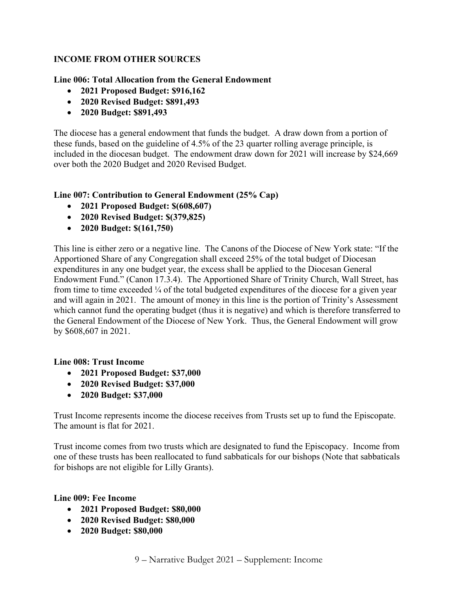# **INCOME FROM OTHER SOURCES**

#### **Line 006: Total Allocation from the General Endowment**

- **2021 Proposed Budget: \$916,162**
- **2020 Revised Budget: \$891,493**
- **2020 Budget: \$891,493**

The diocese has a general endowment that funds the budget. A draw down from a portion of these funds, based on the guideline of 4.5% of the 23 quarter rolling average principle, is included in the diocesan budget. The endowment draw down for 2021 will increase by \$24,669 over both the 2020 Budget and 2020 Revised Budget.

#### **Line 007: Contribution to General Endowment (25% Cap)**

- **2021 Proposed Budget: \$(608,607)**
- **2020 Revised Budget: \$(379,825)**
- **2020 Budget: \$(161,750)**

This line is either zero or a negative line. The Canons of the Diocese of New York state: "If the Apportioned Share of any Congregation shall exceed 25% of the total budget of Diocesan expenditures in any one budget year, the excess shall be applied to the Diocesan General Endowment Fund." (Canon 17.3.4). The Apportioned Share of Trinity Church, Wall Street, has from time to time exceeded  $\frac{1}{4}$  of the total budgeted expenditures of the diocese for a given year and will again in 2021. The amount of money in this line is the portion of Trinity's Assessment which cannot fund the operating budget (thus it is negative) and which is therefore transferred to the General Endowment of the Diocese of New York. Thus, the General Endowment will grow by \$608,607 in 2021.

#### **Line 008: Trust Income**

- **2021 Proposed Budget: \$37,000**
- **2020 Revised Budget: \$37,000**
- **2020 Budget: \$37,000**

Trust Income represents income the diocese receives from Trusts set up to fund the Episcopate. The amount is flat for 2021.

Trust income comes from two trusts which are designated to fund the Episcopacy. Income from one of these trusts has been reallocated to fund sabbaticals for our bishops (Note that sabbaticals for bishops are not eligible for Lilly Grants).

#### **Line 009: Fee Income**

- **2021 Proposed Budget: \$80,000**
- **2020 Revised Budget: \$80,000**
- **2020 Budget: \$80,000**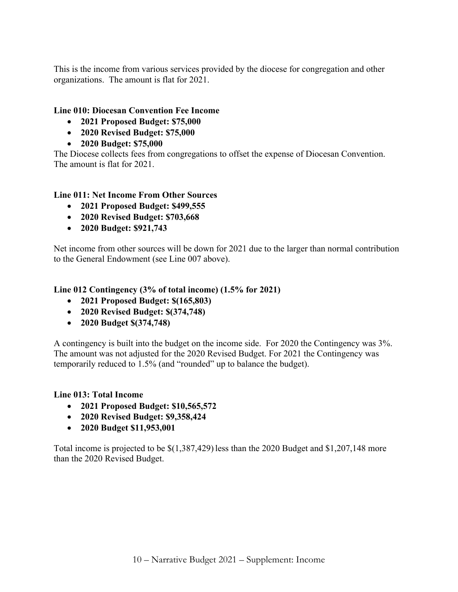This is the income from various services provided by the diocese for congregation and other organizations. The amount is flat for 2021.

## **Line 010: Diocesan Convention Fee Income**

- **2021 Proposed Budget: \$75,000**
- **2020 Revised Budget: \$75,000**
- **2020 Budget: \$75,000**

The Diocese collects fees from congregations to offset the expense of Diocesan Convention. The amount is flat for 2021.

# **Line 011: Net Income From Other Sources**

- **2021 Proposed Budget: \$499,555**
- **2020 Revised Budget: \$703,668**
- **2020 Budget: \$921,743**

Net income from other sources will be down for 2021 due to the larger than normal contribution to the General Endowment (see Line 007 above).

**Line 012 Contingency (3% of total income) (1.5% for 2021)**

- **2021 Proposed Budget: \$(165,803)**
- **2020 Revised Budget: \$(374,748)**
- **2020 Budget \$(374,748)**

A contingency is built into the budget on the income side. For 2020 the Contingency was 3%. The amount was not adjusted for the 2020 Revised Budget. For 2021 the Contingency was temporarily reduced to 1.5% (and "rounded" up to balance the budget).

## **Line 013: Total Income**

- **2021 Proposed Budget: \$10,565,572**
- **2020 Revised Budget: \$9,358,424**
- **2020 Budget \$11,953,001**

Total income is projected to be \$(1,387,429) less than the 2020 Budget and \$1,207,148 more than the 2020 Revised Budget.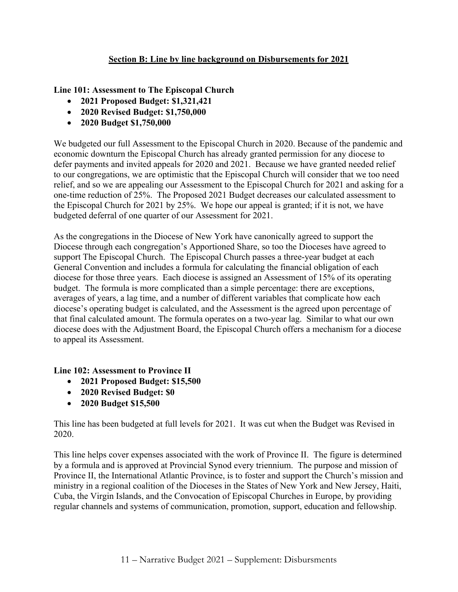# **Section B: Line by line background on Disbursements for 2021**

**Line 101: Assessment to The Episcopal Church**

- **2021 Proposed Budget: \$1,321,421**
- **2020 Revised Budget: \$1,750,000**
- **2020 Budget \$1,750,000**

We budgeted our full Assessment to the Episcopal Church in 2020. Because of the pandemic and economic downturn the Episcopal Church has already granted permission for any diocese to defer payments and invited appeals for 2020 and 2021. Because we have granted needed relief to our congregations, we are optimistic that the Episcopal Church will consider that we too need relief, and so we are appealing our Assessment to the Episcopal Church for 2021 and asking for a one-time reduction of 25%. The Proposed 2021 Budget decreases our calculated assessment to the Episcopal Church for 2021 by 25%. We hope our appeal is granted; if it is not, we have budgeted deferral of one quarter of our Assessment for 2021.

As the congregations in the Diocese of New York have canonically agreed to support the Diocese through each congregation's Apportioned Share, so too the Dioceses have agreed to support The Episcopal Church. The Episcopal Church passes a three-year budget at each General Convention and includes a formula for calculating the financial obligation of each diocese for those three years. Each diocese is assigned an Assessment of 15% of its operating budget. The formula is more complicated than a simple percentage: there are exceptions, averages of years, a lag time, and a number of different variables that complicate how each diocese's operating budget is calculated, and the Assessment is the agreed upon percentage of that final calculated amount. The formula operates on a two-year lag. Similar to what our own diocese does with the Adjustment Board, the Episcopal Church offers a mechanism for a diocese to appeal its Assessment.

## **Line 102: Assessment to Province II**

- **2021 Proposed Budget: \$15,500**
- **2020 Revised Budget: \$0**
- **2020 Budget \$15,500**

This line has been budgeted at full levels for 2021. It was cut when the Budget was Revised in 2020.

This line helps cover expenses associated with the work of Province II. The figure is determined by a formula and is approved at Provincial Synod every triennium. The purpose and mission of Province II, the International Atlantic Province, is to foster and support the Church's mission and ministry in a regional coalition of the Dioceses in the States of New York and New Jersey, Haiti, Cuba, the Virgin Islands, and the Convocation of Episcopal Churches in Europe, by providing regular channels and systems of communication, promotion, support, education and fellowship.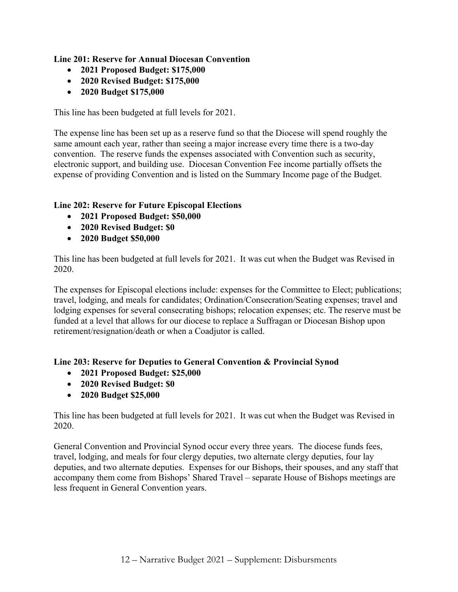## **Line 201: Reserve for Annual Diocesan Convention**

- **2021 Proposed Budget: \$175,000**
- **2020 Revised Budget: \$175,000**
- **2020 Budget \$175,000**

This line has been budgeted at full levels for 2021.

The expense line has been set up as a reserve fund so that the Diocese will spend roughly the same amount each year, rather than seeing a major increase every time there is a two-day convention. The reserve funds the expenses associated with Convention such as security, electronic support, and building use. Diocesan Convention Fee income partially offsets the expense of providing Convention and is listed on the Summary Income page of the Budget.

# **Line 202: Reserve for Future Episcopal Elections**

- **2021 Proposed Budget: \$50,000**
- **2020 Revised Budget: \$0**
- **2020 Budget \$50,000**

This line has been budgeted at full levels for 2021. It was cut when the Budget was Revised in 2020.

The expenses for Episcopal elections include: expenses for the Committee to Elect; publications; travel, lodging, and meals for candidates; Ordination/Consecration/Seating expenses; travel and lodging expenses for several consecrating bishops; relocation expenses; etc. The reserve must be funded at a level that allows for our diocese to replace a Suffragan or Diocesan Bishop upon retirement/resignation/death or when a Coadjutor is called.

## **Line 203: Reserve for Deputies to General Convention & Provincial Synod**

- **2021 Proposed Budget: \$25,000**
- **2020 Revised Budget: \$0**
- **2020 Budget \$25,000**

This line has been budgeted at full levels for 2021. It was cut when the Budget was Revised in 2020.

General Convention and Provincial Synod occur every three years. The diocese funds fees, travel, lodging, and meals for four clergy deputies, two alternate clergy deputies, four lay deputies, and two alternate deputies. Expenses for our Bishops, their spouses, and any staff that accompany them come from Bishops' Shared Travel – separate House of Bishops meetings are less frequent in General Convention years.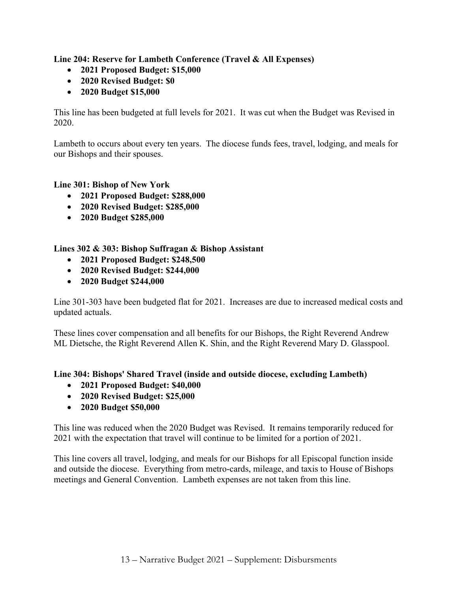**Line 204: Reserve for Lambeth Conference (Travel & All Expenses)**

- **2021 Proposed Budget: \$15,000**
- **2020 Revised Budget: \$0**
- **2020 Budget \$15,000**

This line has been budgeted at full levels for 2021. It was cut when the Budget was Revised in 2020.

Lambeth to occurs about every ten years. The diocese funds fees, travel, lodging, and meals for our Bishops and their spouses.

## **Line 301: Bishop of New York**

- **2021 Proposed Budget: \$288,000**
- **2020 Revised Budget: \$285,000**
- **2020 Budget \$285,000**

## **Lines 302 & 303: Bishop Suffragan & Bishop Assistant**

- **2021 Proposed Budget: \$248,500**
- **2020 Revised Budget: \$244,000**
- **2020 Budget \$244,000**

Line 301-303 have been budgeted flat for 2021. Increases are due to increased medical costs and updated actuals.

These lines cover compensation and all benefits for our Bishops, the Right Reverend Andrew ML Dietsche, the Right Reverend Allen K. Shin, and the Right Reverend Mary D. Glasspool.

## **Line 304: Bishops' Shared Travel (inside and outside diocese, excluding Lambeth)**

- **2021 Proposed Budget: \$40,000**
- **2020 Revised Budget: \$25,000**
- **2020 Budget \$50,000**

This line was reduced when the 2020 Budget was Revised. It remains temporarily reduced for 2021 with the expectation that travel will continue to be limited for a portion of 2021.

This line covers all travel, lodging, and meals for our Bishops for all Episcopal function inside and outside the diocese. Everything from metro-cards, mileage, and taxis to House of Bishops meetings and General Convention. Lambeth expenses are not taken from this line.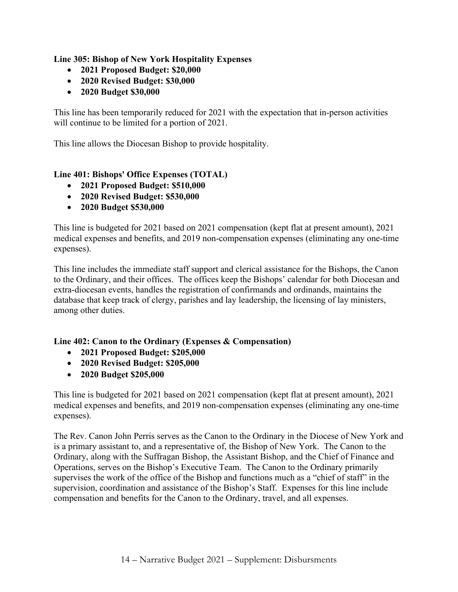**Line 305: Bishop of New York Hospitality Expenses**

- **2021 Proposed Budget: \$20,000**
- **2020 Revised Budget: \$30,000**
- **2020 Budget \$30,000**

This line has been temporarily reduced for 2021 with the expectation that in-person activities will continue to be limited for a portion of 2021.

This line allows the Diocesan Bishop to provide hospitality.

# **Line 401: Bishops' Office Expenses (TOTAL)**

- **2021 Proposed Budget: \$510,000**
- **2020 Revised Budget: \$530,000**
- **2020 Budget \$530,000**

This line is budgeted for 2021 based on 2021 compensation (kept flat at present amount), 2021 medical expenses and benefits, and 2019 non-compensation expenses (eliminating any one-time expenses).

This line includes the immediate staff support and clerical assistance for the Bishops, the Canon to the Ordinary, and their offices. The offices keep the Bishops' calendar for both Diocesan and extra-diocesan events, handles the registration of confirmands and ordinands, maintains the database that keep track of clergy, parishes and lay leadership, the licensing of lay ministers, among other duties.

## **Line 402: Canon to the Ordinary (Expenses & Compensation)**

- **2021 Proposed Budget: \$205,000**
- **2020 Revised Budget: \$205,000**
- **2020 Budget \$205,000**

This line is budgeted for 2021 based on 2021 compensation (kept flat at present amount), 2021 medical expenses and benefits, and 2019 non-compensation expenses (eliminating any one-time expenses).

The Rev. Canon John Perris serves as the Canon to the Ordinary in the Diocese of New York and is a primary assistant to, and a representative of, the Bishop of New York. The Canon to the Ordinary, along with the Suffragan Bishop, the Assistant Bishop, and the Chief of Finance and Operations, serves on the Bishop's Executive Team. The Canon to the Ordinary primarily supervises the work of the office of the Bishop and functions much as a "chief of staff" in the supervision, coordination and assistance of the Bishop's Staff. Expenses for this line include compensation and benefits for the Canon to the Ordinary, travel, and all expenses.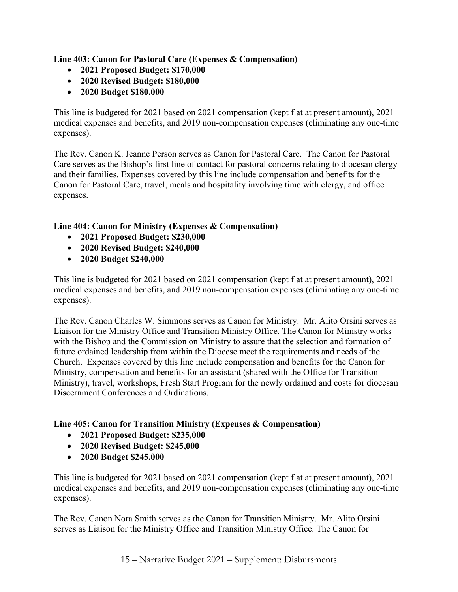**Line 403: Canon for Pastoral Care (Expenses & Compensation)**

- **2021 Proposed Budget: \$170,000**
- **2020 Revised Budget: \$180,000**
- **2020 Budget \$180,000**

This line is budgeted for 2021 based on 2021 compensation (kept flat at present amount), 2021 medical expenses and benefits, and 2019 non-compensation expenses (eliminating any one-time expenses).

The Rev. Canon K. Jeanne Person serves as Canon for Pastoral Care. The Canon for Pastoral Care serves as the Bishop's first line of contact for pastoral concerns relating to diocesan clergy and their families. Expenses covered by this line include compensation and benefits for the Canon for Pastoral Care, travel, meals and hospitality involving time with clergy, and office expenses.

# **Line 404: Canon for Ministry (Expenses & Compensation)**

- **2021 Proposed Budget: \$230,000**
- **2020 Revised Budget: \$240,000**
- **2020 Budget \$240,000**

This line is budgeted for 2021 based on 2021 compensation (kept flat at present amount), 2021 medical expenses and benefits, and 2019 non-compensation expenses (eliminating any one-time expenses).

The Rev. Canon Charles W. Simmons serves as Canon for Ministry. Mr. Alito Orsini serves as Liaison for the Ministry Office and Transition Ministry Office. The Canon for Ministry works with the Bishop and the Commission on Ministry to assure that the selection and formation of future ordained leadership from within the Diocese meet the requirements and needs of the Church. Expenses covered by this line include compensation and benefits for the Canon for Ministry, compensation and benefits for an assistant (shared with the Office for Transition Ministry), travel, workshops, Fresh Start Program for the newly ordained and costs for diocesan Discernment Conferences and Ordinations.

## **Line 405: Canon for Transition Ministry (Expenses & Compensation)**

- **2021 Proposed Budget: \$235,000**
- **2020 Revised Budget: \$245,000**
- **2020 Budget \$245,000**

This line is budgeted for 2021 based on 2021 compensation (kept flat at present amount), 2021 medical expenses and benefits, and 2019 non-compensation expenses (eliminating any one-time expenses).

The Rev. Canon Nora Smith serves as the Canon for Transition Ministry. Mr. Alito Orsini serves as Liaison for the Ministry Office and Transition Ministry Office. The Canon for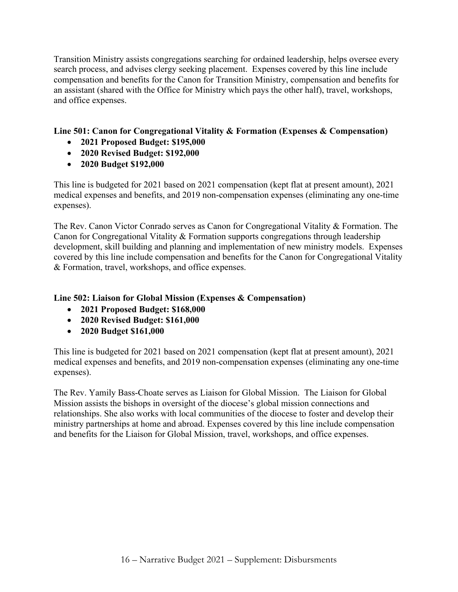Transition Ministry assists congregations searching for ordained leadership, helps oversee every search process, and advises clergy seeking placement. Expenses covered by this line include compensation and benefits for the Canon for Transition Ministry, compensation and benefits for an assistant (shared with the Office for Ministry which pays the other half), travel, workshops, and office expenses.

# **Line 501: Canon for Congregational Vitality & Formation (Expenses & Compensation)**

- **2021 Proposed Budget: \$195,000**
- **2020 Revised Budget: \$192,000**
- **2020 Budget \$192,000**

This line is budgeted for 2021 based on 2021 compensation (kept flat at present amount), 2021 medical expenses and benefits, and 2019 non-compensation expenses (eliminating any one-time expenses).

The Rev. Canon Victor Conrado serves as Canon for Congregational Vitality & Formation. The Canon for Congregational Vitality & Formation supports congregations through leadership development, skill building and planning and implementation of new ministry models. Expenses covered by this line include compensation and benefits for the Canon for Congregational Vitality & Formation, travel, workshops, and office expenses.

# **Line 502: Liaison for Global Mission (Expenses & Compensation)**

- **2021 Proposed Budget: \$168,000**
- **2020 Revised Budget: \$161,000**
- **2020 Budget \$161,000**

This line is budgeted for 2021 based on 2021 compensation (kept flat at present amount), 2021 medical expenses and benefits, and 2019 non-compensation expenses (eliminating any one-time expenses).

The Rev. Yamily Bass-Choate serves as Liaison for Global Mission. The Liaison for Global Mission assists the bishops in oversight of the diocese's global mission connections and relationships. She also works with local communities of the diocese to foster and develop their ministry partnerships at home and abroad. Expenses covered by this line include compensation and benefits for the Liaison for Global Mission, travel, workshops, and office expenses.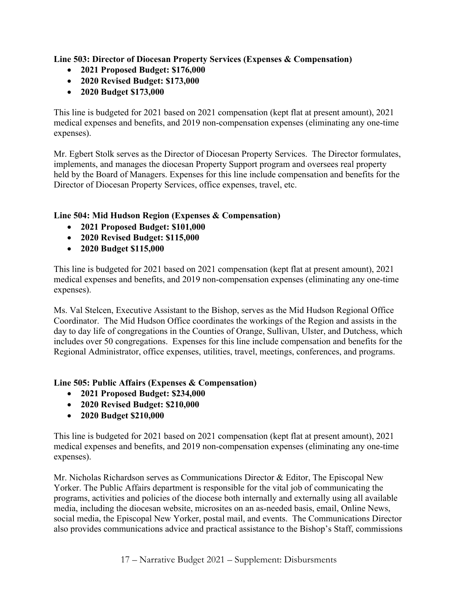**Line 503: Director of Diocesan Property Services (Expenses & Compensation)**

- **2021 Proposed Budget: \$176,000**
- **2020 Revised Budget: \$173,000**
- **2020 Budget \$173,000**

This line is budgeted for 2021 based on 2021 compensation (kept flat at present amount), 2021 medical expenses and benefits, and 2019 non-compensation expenses (eliminating any one-time expenses).

Mr. Egbert Stolk serves as the Director of Diocesan Property Services. The Director formulates, implements, and manages the diocesan Property Support program and oversees real property held by the Board of Managers. Expenses for this line include compensation and benefits for the Director of Diocesan Property Services, office expenses, travel, etc.

## **Line 504: Mid Hudson Region (Expenses & Compensation)**

- **2021 Proposed Budget: \$101,000**
- **2020 Revised Budget: \$115,000**
- **2020 Budget \$115,000**

This line is budgeted for 2021 based on 2021 compensation (kept flat at present amount), 2021 medical expenses and benefits, and 2019 non-compensation expenses (eliminating any one-time expenses).

Ms. Val Stelcen, Executive Assistant to the Bishop, serves as the Mid Hudson Regional Office Coordinator. The Mid Hudson Office coordinates the workings of the Region and assists in the day to day life of congregations in the Counties of Orange, Sullivan, Ulster, and Dutchess, which includes over 50 congregations. Expenses for this line include compensation and benefits for the Regional Administrator, office expenses, utilities, travel, meetings, conferences, and programs.

## **Line 505: Public Affairs (Expenses & Compensation)**

- **2021 Proposed Budget: \$234,000**
- **2020 Revised Budget: \$210,000**
- **2020 Budget \$210,000**

This line is budgeted for 2021 based on 2021 compensation (kept flat at present amount), 2021 medical expenses and benefits, and 2019 non-compensation expenses (eliminating any one-time expenses).

Mr. Nicholas Richardson serves as Communications Director & Editor, The Episcopal New Yorker. The Public Affairs department is responsible for the vital job of communicating the programs, activities and policies of the diocese both internally and externally using all available media, including the diocesan website, microsites on an as-needed basis, email, Online News, social media, the Episcopal New Yorker, postal mail, and events. The Communications Director also provides communications advice and practical assistance to the Bishop's Staff, commissions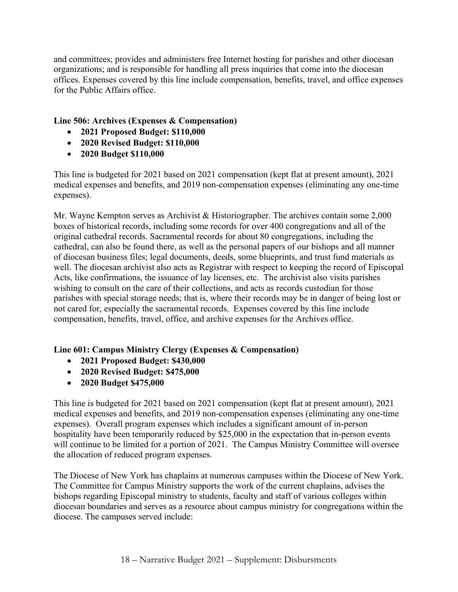and committees; provides and administers free Internet hosting for parishes and other diocesan organizations; and is responsible for handling all press inquiries that come into the diocesan offices. Expenses covered by this line include compensation, benefits, travel, and office expenses for the Public Affairs office.

# **Line 506: Archives (Expenses & Compensation)**

- **2021 Proposed Budget: \$110,000**
- **2020 Revised Budget: \$110,000**
- **2020 Budget \$110,000**

This line is budgeted for 2021 based on 2021 compensation (kept flat at present amount), 2021 medical expenses and benefits, and 2019 non-compensation expenses (eliminating any one-time expenses).

Mr. Wayne Kempton serves as Archivist & Historiographer. The archives contain some 2,000 boxes of historical records, including some records for over 400 congregations and all of the original cathedral records. Sacramental records for about 80 congregations, including the cathedral, can also be found there, as well as the personal papers of our bishops and all manner of diocesan business files; legal documents, deeds, some blueprints, and trust fund materials as well. The diocesan archivist also acts as Registrar with respect to keeping the record of Episcopal Acts, like confirmations, the issuance of lay licenses, etc. The archivist also visits parishes wishing to consult on the care of their collections, and acts as records custodian for those parishes with special storage needs; that is, where their records may be in danger of being lost or not cared for, especially the sacramental records. Expenses covered by this line include compensation, benefits, travel, office, and archive expenses for the Archives office.

## **Line 601: Campus Ministry Clergy (Expenses & Compensation)**

- **2021 Proposed Budget: \$430,000**
- **2020 Revised Budget: \$475,000**
- **2020 Budget \$475,000**

This line is budgeted for 2021 based on 2021 compensation (kept flat at present amount), 2021 medical expenses and benefits, and 2019 non-compensation expenses (eliminating any one-time expenses). Overall program expenses which includes a significant amount of in-person hospitality have been temporarily reduced by \$25,000 in the expectation that in-person events will continue to be limited for a portion of 2021. The Campus Ministry Committee will oversee the allocation of reduced program expenses.

The Diocese of New York has chaplains at numerous campuses within the Diocese of New York. The Committee for Campus Ministry supports the work of the current chaplains, advises the bishops regarding Episcopal ministry to students, faculty and staff of various colleges within diocesan boundaries and serves as a resource about campus ministry for congregations within the diocese. The campuses served include: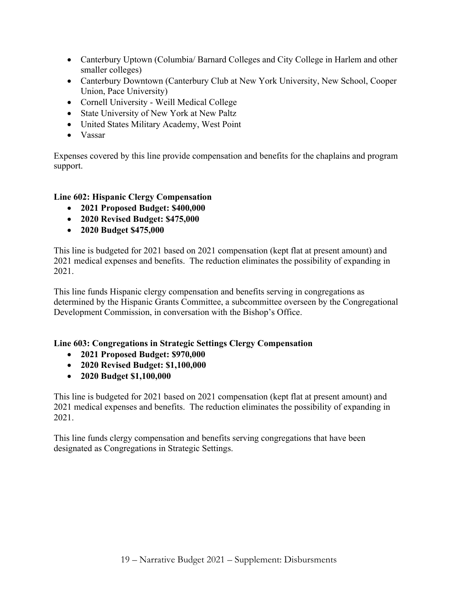- Canterbury Uptown (Columbia/ Barnard Colleges and City College in Harlem and other smaller colleges)
- Canterbury Downtown (Canterbury Club at New York University, New School, Cooper Union, Pace University)
- Cornell University Weill Medical College
- State University of New York at New Paltz
- United States Military Academy, West Point
- Vassar

Expenses covered by this line provide compensation and benefits for the chaplains and program support.

# **Line 602: Hispanic Clergy Compensation**

- **2021 Proposed Budget: \$400,000**
- **2020 Revised Budget: \$475,000**
- **2020 Budget \$475,000**

This line is budgeted for 2021 based on 2021 compensation (kept flat at present amount) and 2021 medical expenses and benefits. The reduction eliminates the possibility of expanding in 2021.

This line funds Hispanic clergy compensation and benefits serving in congregations as determined by the Hispanic Grants Committee, a subcommittee overseen by the Congregational Development Commission, in conversation with the Bishop's Office.

# **Line 603: Congregations in Strategic Settings Clergy Compensation**

- **2021 Proposed Budget: \$970,000**
- **2020 Revised Budget: \$1,100,000**
- **2020 Budget \$1,100,000**

This line is budgeted for 2021 based on 2021 compensation (kept flat at present amount) and 2021 medical expenses and benefits. The reduction eliminates the possibility of expanding in 2021.

This line funds clergy compensation and benefits serving congregations that have been designated as Congregations in Strategic Settings.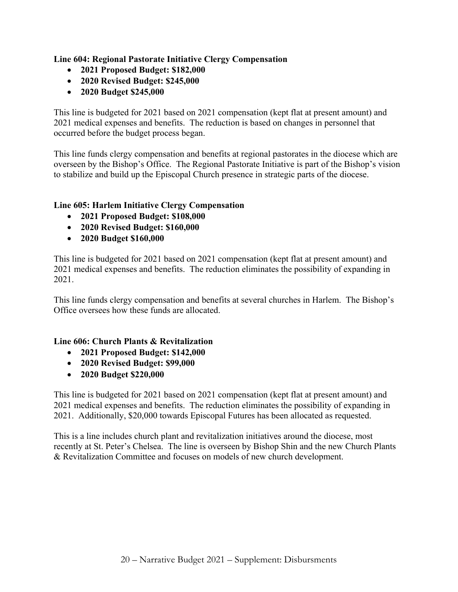**Line 604: Regional Pastorate Initiative Clergy Compensation**

- **2021 Proposed Budget: \$182,000**
- **2020 Revised Budget: \$245,000**
- **2020 Budget \$245,000**

This line is budgeted for 2021 based on 2021 compensation (kept flat at present amount) and 2021 medical expenses and benefits. The reduction is based on changes in personnel that occurred before the budget process began.

This line funds clergy compensation and benefits at regional pastorates in the diocese which are overseen by the Bishop's Office. The Regional Pastorate Initiative is part of the Bishop's vision to stabilize and build up the Episcopal Church presence in strategic parts of the diocese.

## **Line 605: Harlem Initiative Clergy Compensation**

- **2021 Proposed Budget: \$108,000**
- **2020 Revised Budget: \$160,000**
- **2020 Budget \$160,000**

This line is budgeted for 2021 based on 2021 compensation (kept flat at present amount) and 2021 medical expenses and benefits. The reduction eliminates the possibility of expanding in 2021.

This line funds clergy compensation and benefits at several churches in Harlem. The Bishop's Office oversees how these funds are allocated.

## **Line 606: Church Plants & Revitalization**

- **2021 Proposed Budget: \$142,000**
- **2020 Revised Budget: \$99,000**
- **2020 Budget \$220,000**

This line is budgeted for 2021 based on 2021 compensation (kept flat at present amount) and 2021 medical expenses and benefits. The reduction eliminates the possibility of expanding in 2021. Additionally, \$20,000 towards Episcopal Futures has been allocated as requested.

This is a line includes church plant and revitalization initiatives around the diocese, most recently at St. Peter's Chelsea. The line is overseen by Bishop Shin and the new Church Plants & Revitalization Committee and focuses on models of new church development.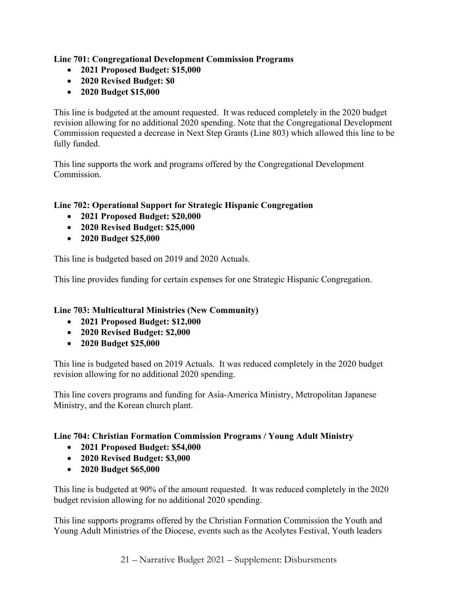# **Line 701: Congregational Development Commission Programs**

- **2021 Proposed Budget: \$15,000**
- **2020 Revised Budget: \$0**
- **2020 Budget \$15,000**

This line is budgeted at the amount requested. It was reduced completely in the 2020 budget revision allowing for no additional 2020 spending. Note that the Congregational Development Commission requested a decrease in Next Step Grants (Line 803) which allowed this line to be fully funded.

This line supports the work and programs offered by the Congregational Development Commission.

# **Line 702: Operational Support for Strategic Hispanic Congregation**

- **2021 Proposed Budget: \$20,000**
- **2020 Revised Budget: \$25,000**
- **2020 Budget \$25,000**

This line is budgeted based on 2019 and 2020 Actuals.

This line provides funding for certain expenses for one Strategic Hispanic Congregation.

## **Line 703: Multicultural Ministries (New Community)**

- **2021 Proposed Budget: \$12,000**
- **2020 Revised Budget: \$2,000**
- **2020 Budget \$25,000**

This line is budgeted based on 2019 Actuals. It was reduced completely in the 2020 budget revision allowing for no additional 2020 spending.

This line covers programs and funding for Asia-America Ministry, Metropolitan Japanese Ministry, and the Korean church plant.

## **Line 704: Christian Formation Commission Programs / Young Adult Ministry**

- **2021 Proposed Budget: \$54,000**
- **2020 Revised Budget: \$3,000**
- **2020 Budget \$65,000**

This line is budgeted at 90% of the amount requested. It was reduced completely in the 2020 budget revision allowing for no additional 2020 spending.

This line supports programs offered by the Christian Formation Commission the Youth and Young Adult Ministries of the Diocese, events such as the Acolytes Festival, Youth leaders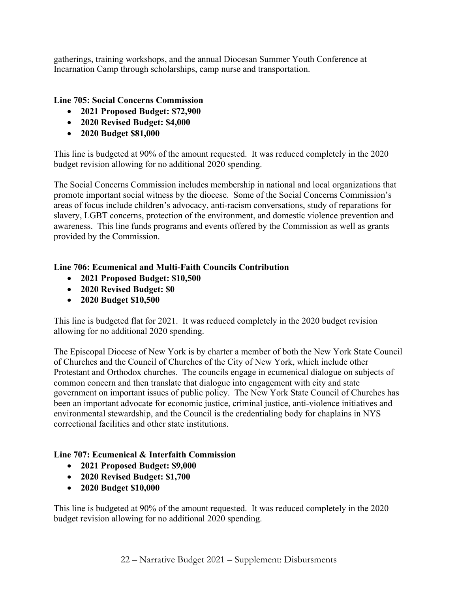gatherings, training workshops, and the annual Diocesan Summer Youth Conference at Incarnation Camp through scholarships, camp nurse and transportation.

# **Line 705: Social Concerns Commission**

- **2021 Proposed Budget: \$72,900**
- **2020 Revised Budget: \$4,000**
- **2020 Budget \$81,000**

This line is budgeted at 90% of the amount requested. It was reduced completely in the 2020 budget revision allowing for no additional 2020 spending.

The Social Concerns Commission includes membership in national and local organizations that promote important social witness by the diocese. Some of the Social Concerns Commission's areas of focus include children's advocacy, anti-racism conversations, study of reparations for slavery, LGBT concerns, protection of the environment, and domestic violence prevention and awareness. This line funds programs and events offered by the Commission as well as grants provided by the Commission.

## **Line 706: Ecumenical and Multi-Faith Councils Contribution**

- **2021 Proposed Budget: \$10,500**
- **2020 Revised Budget: \$0**
- **2020 Budget \$10,500**

This line is budgeted flat for 2021. It was reduced completely in the 2020 budget revision allowing for no additional 2020 spending.

The Episcopal Diocese of New York is by charter a member of both the New York State Council of Churches and the Council of Churches of the City of New York, which include other Protestant and Orthodox churches. The councils engage in ecumenical dialogue on subjects of common concern and then translate that dialogue into engagement with city and state government on important issues of public policy. The New York State Council of Churches has been an important advocate for economic justice, criminal justice, anti-violence initiatives and environmental stewardship, and the Council is the credentialing body for chaplains in NYS correctional facilities and other state institutions.

## **Line 707: Ecumenical & Interfaith Commission**

- **2021 Proposed Budget: \$9,000**
- **2020 Revised Budget: \$1,700**
- **2020 Budget \$10,000**

This line is budgeted at 90% of the amount requested. It was reduced completely in the 2020 budget revision allowing for no additional 2020 spending.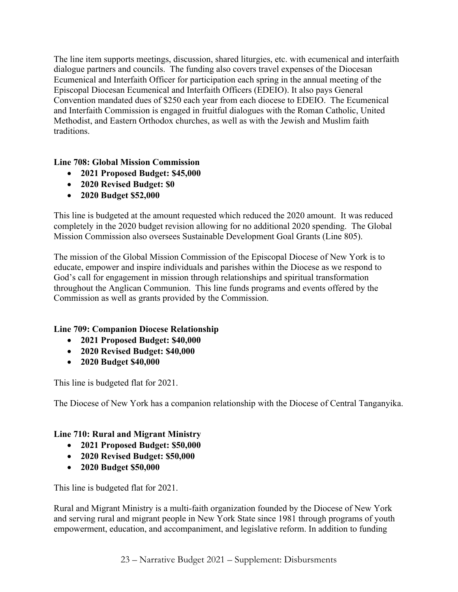The line item supports meetings, discussion, shared liturgies, etc. with ecumenical and interfaith dialogue partners and councils. The funding also covers travel expenses of the Diocesan Ecumenical and Interfaith Officer for participation each spring in the annual meeting of the Episcopal Diocesan Ecumenical and Interfaith Officers (EDEIO). It also pays General Convention mandated dues of \$250 each year from each diocese to EDEIO. The Ecumenical and Interfaith Commission is engaged in fruitful dialogues with the Roman Catholic, United Methodist, and Eastern Orthodox churches, as well as with the Jewish and Muslim faith traditions.

# **Line 708: Global Mission Commission**

- **2021 Proposed Budget: \$45,000**
- **2020 Revised Budget: \$0**
- **2020 Budget \$52,000**

This line is budgeted at the amount requested which reduced the 2020 amount. It was reduced completely in the 2020 budget revision allowing for no additional 2020 spending. The Global Mission Commission also oversees Sustainable Development Goal Grants (Line 805).

The mission of the Global Mission Commission of the Episcopal Diocese of New York is to educate, empower and inspire individuals and parishes within the Diocese as we respond to God's call for engagement in mission through relationships and spiritual transformation throughout the Anglican Communion. This line funds programs and events offered by the Commission as well as grants provided by the Commission.

## **Line 709: Companion Diocese Relationship**

- **2021 Proposed Budget: \$40,000**
- **2020 Revised Budget: \$40,000**
- **2020 Budget \$40,000**

This line is budgeted flat for 2021.

The Diocese of New York has a companion relationship with the Diocese of Central Tanganyika.

## **Line 710: Rural and Migrant Ministry**

- **2021 Proposed Budget: \$50,000**
- **2020 Revised Budget: \$50,000**
- **2020 Budget \$50,000**

This line is budgeted flat for 2021.

Rural and Migrant Ministry is a multi-faith organization founded by the Diocese of New York and serving rural and migrant people in New York State since 1981 through programs of youth empowerment, education, and accompaniment, and legislative reform. In addition to funding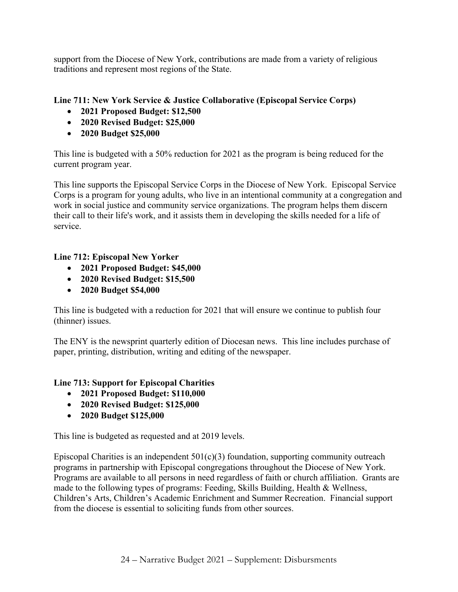support from the Diocese of New York, contributions are made from a variety of religious traditions and represent most regions of the State.

# **Line 711: New York Service & Justice Collaborative (Episcopal Service Corps)**

- **2021 Proposed Budget: \$12,500**
- **2020 Revised Budget: \$25,000**
- **2020 Budget \$25,000**

This line is budgeted with a 50% reduction for 2021 as the program is being reduced for the current program year.

This line supports the Episcopal Service Corps in the Diocese of New York. Episcopal Service Corps is a program for young adults, who live in an intentional community at a congregation and work in social justice and community service organizations. The program helps them discern their call to their life's work, and it assists them in developing the skills needed for a life of service.

## **Line 712: Episcopal New Yorker**

- **2021 Proposed Budget: \$45,000**
- **2020 Revised Budget: \$15,500**
- **2020 Budget \$54,000**

This line is budgeted with a reduction for 2021 that will ensure we continue to publish four (thinner) issues.

The ENY is the newsprint quarterly edition of Diocesan news. This line includes purchase of paper, printing, distribution, writing and editing of the newspaper.

## **Line 713: Support for Episcopal Charities**

- **2021 Proposed Budget: \$110,000**
- **2020 Revised Budget: \$125,000**
- **2020 Budget \$125,000**

This line is budgeted as requested and at 2019 levels.

Episcopal Charities is an independent  $501(c)(3)$  foundation, supporting community outreach programs in partnership with Episcopal congregations throughout the Diocese of New York. Programs are available to all persons in need regardless of faith or church affiliation. Grants are made to the following types of programs: Feeding, Skills Building, Health & Wellness, Children's Arts, Children's Academic Enrichment and Summer Recreation. Financial support from the diocese is essential to soliciting funds from other sources.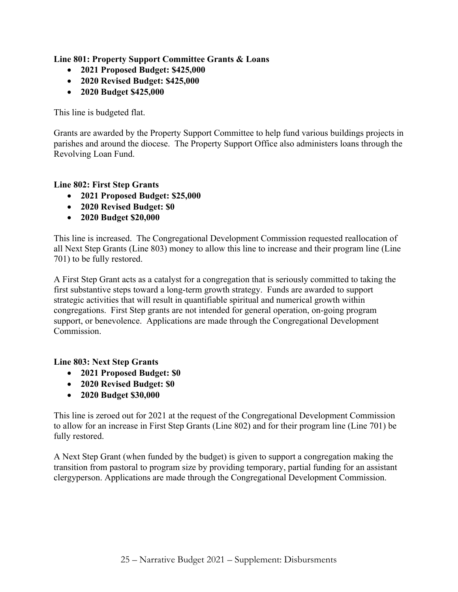**Line 801: Property Support Committee Grants & Loans**

- **2021 Proposed Budget: \$425,000**
- **2020 Revised Budget: \$425,000**
- **2020 Budget \$425,000**

This line is budgeted flat.

Grants are awarded by the Property Support Committee to help fund various buildings projects in parishes and around the diocese. The Property Support Office also administers loans through the Revolving Loan Fund.

#### **Line 802: First Step Grants**

- **2021 Proposed Budget: \$25,000**
- **2020 Revised Budget: \$0**
- **2020 Budget \$20,000**

This line is increased. The Congregational Development Commission requested reallocation of all Next Step Grants (Line 803) money to allow this line to increase and their program line (Line 701) to be fully restored.

A First Step Grant acts as a catalyst for a congregation that is seriously committed to taking the first substantive steps toward a long-term growth strategy. Funds are awarded to support strategic activities that will result in quantifiable spiritual and numerical growth within congregations. First Step grants are not intended for general operation, on-going program support, or benevolence. Applications are made through the Congregational Development Commission.

## **Line 803: Next Step Grants**

- **2021 Proposed Budget: \$0**
- **2020 Revised Budget: \$0**
- **2020 Budget \$30,000**

This line is zeroed out for 2021 at the request of the Congregational Development Commission to allow for an increase in First Step Grants (Line 802) and for their program line (Line 701) be fully restored.

A Next Step Grant (when funded by the budget) is given to support a congregation making the transition from pastoral to program size by providing temporary, partial funding for an assistant clergyperson. Applications are made through the Congregational Development Commission.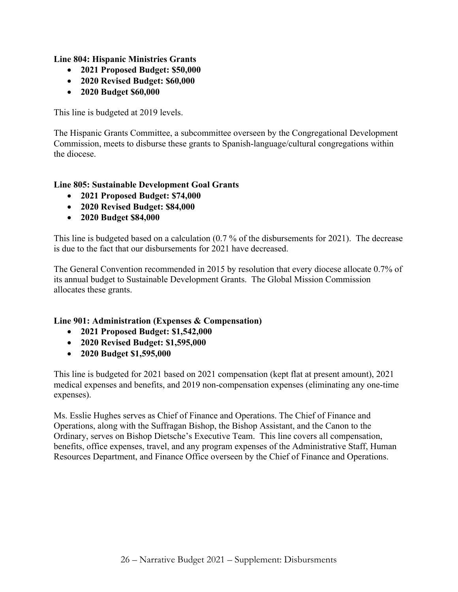**Line 804: Hispanic Ministries Grants**

- **2021 Proposed Budget: \$50,000**
- **2020 Revised Budget: \$60,000**
- **2020 Budget \$60,000**

This line is budgeted at 2019 levels.

The Hispanic Grants Committee, a subcommittee overseen by the Congregational Development Commission, meets to disburse these grants to Spanish-language/cultural congregations within the diocese.

## **Line 805: Sustainable Development Goal Grants**

- **2021 Proposed Budget: \$74,000**
- **2020 Revised Budget: \$84,000**
- **2020 Budget \$84,000**

This line is budgeted based on a calculation (0.7 % of the disbursements for 2021). The decrease is due to the fact that our disbursements for 2021 have decreased.

The General Convention recommended in 2015 by resolution that every diocese allocate 0.7% of its annual budget to Sustainable Development Grants. The Global Mission Commission allocates these grants.

## **Line 901: Administration (Expenses & Compensation)**

- **2021 Proposed Budget: \$1,542,000**
- **2020 Revised Budget: \$1,595,000**
- **2020 Budget \$1,595,000**

This line is budgeted for 2021 based on 2021 compensation (kept flat at present amount), 2021 medical expenses and benefits, and 2019 non-compensation expenses (eliminating any one-time expenses).

Ms. Esslie Hughes serves as Chief of Finance and Operations. The Chief of Finance and Operations, along with the Suffragan Bishop, the Bishop Assistant, and the Canon to the Ordinary, serves on Bishop Dietsche's Executive Team. This line covers all compensation, benefits, office expenses, travel, and any program expenses of the Administrative Staff, Human Resources Department, and Finance Office overseen by the Chief of Finance and Operations.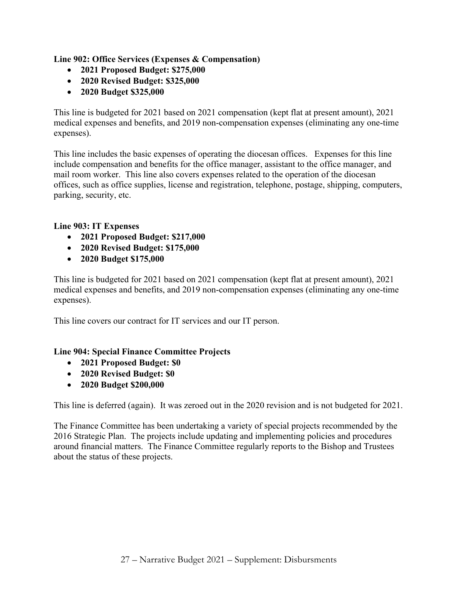**Line 902: Office Services (Expenses & Compensation)**

- **2021 Proposed Budget: \$275,000**
- **2020 Revised Budget: \$325,000**
- **2020 Budget \$325,000**

This line is budgeted for 2021 based on 2021 compensation (kept flat at present amount), 2021 medical expenses and benefits, and 2019 non-compensation expenses (eliminating any one-time expenses).

This line includes the basic expenses of operating the diocesan offices. Expenses for this line include compensation and benefits for the office manager, assistant to the office manager, and mail room worker. This line also covers expenses related to the operation of the diocesan offices, such as office supplies, license and registration, telephone, postage, shipping, computers, parking, security, etc.

# **Line 903: IT Expenses**

- **2021 Proposed Budget: \$217,000**
- **2020 Revised Budget: \$175,000**
- **2020 Budget \$175,000**

This line is budgeted for 2021 based on 2021 compensation (kept flat at present amount), 2021 medical expenses and benefits, and 2019 non-compensation expenses (eliminating any one-time expenses).

This line covers our contract for IT services and our IT person.

## **Line 904: Special Finance Committee Projects**

- **2021 Proposed Budget: \$0**
- **2020 Revised Budget: \$0**
- **2020 Budget \$200,000**

This line is deferred (again). It was zeroed out in the 2020 revision and is not budgeted for 2021.

The Finance Committee has been undertaking a variety of special projects recommended by the 2016 Strategic Plan. The projects include updating and implementing policies and procedures around financial matters. The Finance Committee regularly reports to the Bishop and Trustees about the status of these projects.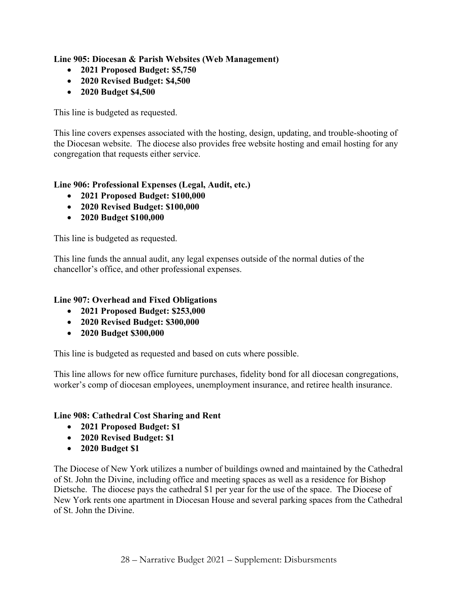**Line 905: Diocesan & Parish Websites (Web Management)**

- **2021 Proposed Budget: \$5,750**
- **2020 Revised Budget: \$4,500**
- **2020 Budget \$4,500**

This line is budgeted as requested.

This line covers expenses associated with the hosting, design, updating, and trouble-shooting of the Diocesan website. The diocese also provides free website hosting and email hosting for any congregation that requests either service.

# **Line 906: Professional Expenses (Legal, Audit, etc.)**

- **2021 Proposed Budget: \$100,000**
- **2020 Revised Budget: \$100,000**
- **2020 Budget \$100,000**

This line is budgeted as requested.

This line funds the annual audit, any legal expenses outside of the normal duties of the chancellor's office, and other professional expenses.

# **Line 907: Overhead and Fixed Obligations**

- **2021 Proposed Budget: \$253,000**
- **2020 Revised Budget: \$300,000**
- **2020 Budget \$300,000**

This line is budgeted as requested and based on cuts where possible.

This line allows for new office furniture purchases, fidelity bond for all diocesan congregations, worker's comp of diocesan employees, unemployment insurance, and retiree health insurance.

## **Line 908: Cathedral Cost Sharing and Rent**

- **2021 Proposed Budget: \$1**
- **2020 Revised Budget: \$1**
- **2020 Budget \$1**

The Diocese of New York utilizes a number of buildings owned and maintained by the Cathedral of St. John the Divine, including office and meeting spaces as well as a residence for Bishop Dietsche. The diocese pays the cathedral \$1 per year for the use of the space. The Diocese of New York rents one apartment in Diocesan House and several parking spaces from the Cathedral of St. John the Divine.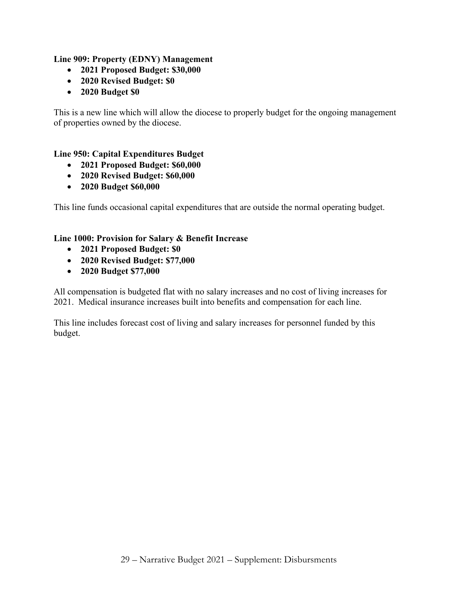# **Line 909: Property (EDNY) Management**

- **2021 Proposed Budget: \$30,000**
- **2020 Revised Budget: \$0**
- **2020 Budget \$0**

This is a new line which will allow the diocese to properly budget for the ongoing management of properties owned by the diocese.

# **Line 950: Capital Expenditures Budget**

- **2021 Proposed Budget: \$60,000**
- **2020 Revised Budget: \$60,000**
- **2020 Budget \$60,000**

This line funds occasional capital expenditures that are outside the normal operating budget.

## **Line 1000: Provision for Salary & Benefit Increase**

- **2021 Proposed Budget: \$0**
- **2020 Revised Budget: \$77,000**
- **2020 Budget \$77,000**

All compensation is budgeted flat with no salary increases and no cost of living increases for 2021. Medical insurance increases built into benefits and compensation for each line.

This line includes forecast cost of living and salary increases for personnel funded by this budget.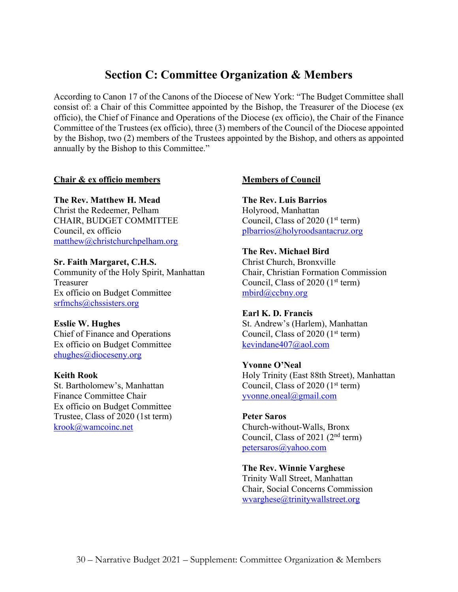# **Section C: Committee Organization & Members**

According to Canon 17 of the Canons of the Diocese of New York: "The Budget Committee shall consist of: a Chair of this Committee appointed by the Bishop, the Treasurer of the Diocese (ex officio), the Chief of Finance and Operations of the Diocese (ex officio), the Chair of the Finance Committee of the Trustees (ex officio), three (3) members of the Council of the Diocese appointed by the Bishop, two (2) members of the Trustees appointed by the Bishop, and others as appointed annually by the Bishop to this Committee."

#### **Chair & ex officio members**

**The Rev. Matthew H. Mead** Christ the Redeemer, Pelham CHAIR, BUDGET COMMITTEE Council, ex officio matthew@christchurchpelham.org

**Sr. Faith Margaret, C.H.S.** Community of the Holy Spirit, Manhattan Treasurer Ex officio on Budget Committee srfmchs@chssisters.org

**Esslie W. Hughes** Chief of Finance and Operations Ex officio on Budget Committee ehughes@dioceseny.org

#### **Keith Rook**

St. Bartholomew's, Manhattan Finance Committee Chair Ex officio on Budget Committee Trustee, Class of 2020 (1st term) krook@wamcoinc.net

#### **Members of Council**

**The Rev. Luis Barrios** Holyrood, Manhattan Council, Class of 2020  $(1<sup>st</sup> term)$ plbarrios@holyroodsantacruz.org

**The Rev. Michael Bird** Christ Church, Bronxville Chair, Christian Formation Commission Council, Class of 2020  $(1<sup>st</sup> term)$ mbird@ccbny.org

**Earl K. D. Francis** St. Andrew's (Harlem), Manhattan Council, Class of 2020  $(1<sup>st</sup> term)$ kevindane407@aol.com

**Yvonne O'Neal** Holy Trinity (East 88th Street), Manhattan Council, Class of 2020  $(1<sup>st</sup> term)$ yvonne.oneal@gmail.com

**Peter Saros** Church-without-Walls, Bronx Council, Class of 2021 (2nd term) petersaros@yahoo.com

**The Rev. Winnie Varghese** Trinity Wall Street, Manhattan Chair, Social Concerns Commission wvarghese@trinitywallstreet.org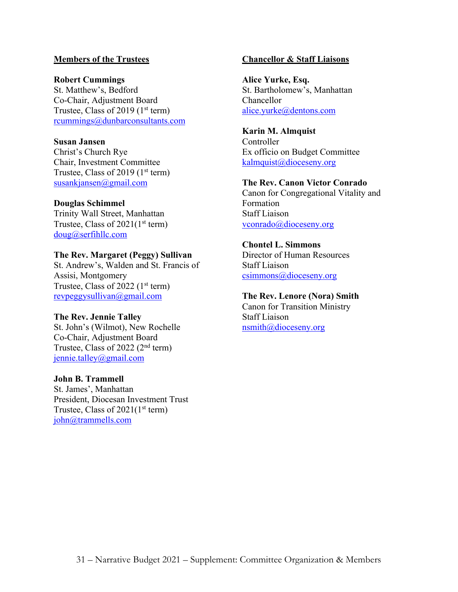#### **Members of the Trustees**

#### **Robert Cummings**

St. Matthew's, Bedford Co-Chair, Adjustment Board Trustee, Class of 2019 ( $1<sup>st</sup>$  term) rcummings@dunbarconsultants.com

#### **Susan Jansen**

Christ's Church Rye Chair, Investment Committee Trustee, Class of 2019 ( $1<sup>st</sup>$  term) susankjansen@gmail.com

#### **Douglas Schimmel**

Trinity Wall Street, Manhattan Trustee, Class of  $2021(1<sup>st</sup> term)$ doug@serfihllc.com

#### **The Rev. Margaret (Peggy) Sullivan**

St. Andrew's, Walden and St. Francis of Assisi, Montgomery Trustee, Class of 2022  $(1<sup>st</sup> term)$ revpeggysullivan@gmail.com

#### **The Rev. Jennie Talley**

St. John's (Wilmot), New Rochelle Co-Chair, Adjustment Board Trustee, Class of 2022 (2nd term) jennie.talley@gmail.com

#### **John B. Trammell**

St. James', Manhattan President, Diocesan Investment Trust Trustee, Class of  $2021(1<sup>st</sup> term)$ john@trammells.com

#### **Chancellor & Staff Liaisons**

**Alice Yurke, Esq.** St. Bartholomew's, Manhattan Chancellor alice.yurke@dentons.com

#### **Karin M. Almquist**

Controller Ex officio on Budget Committee kalmquist@dioceseny.org

#### **The Rev. Canon Victor Conrado**

Canon for Congregational Vitality and Formation Staff Liaison vconrado@dioceseny.org

#### **Chontel L. Simmons**

Director of Human Resources Staff Liaison csimmons@dioceseny.org

#### **The Rev. Lenore (Nora) Smith**

Canon for Transition Ministry Staff Liaison nsmith@dioceseny.org